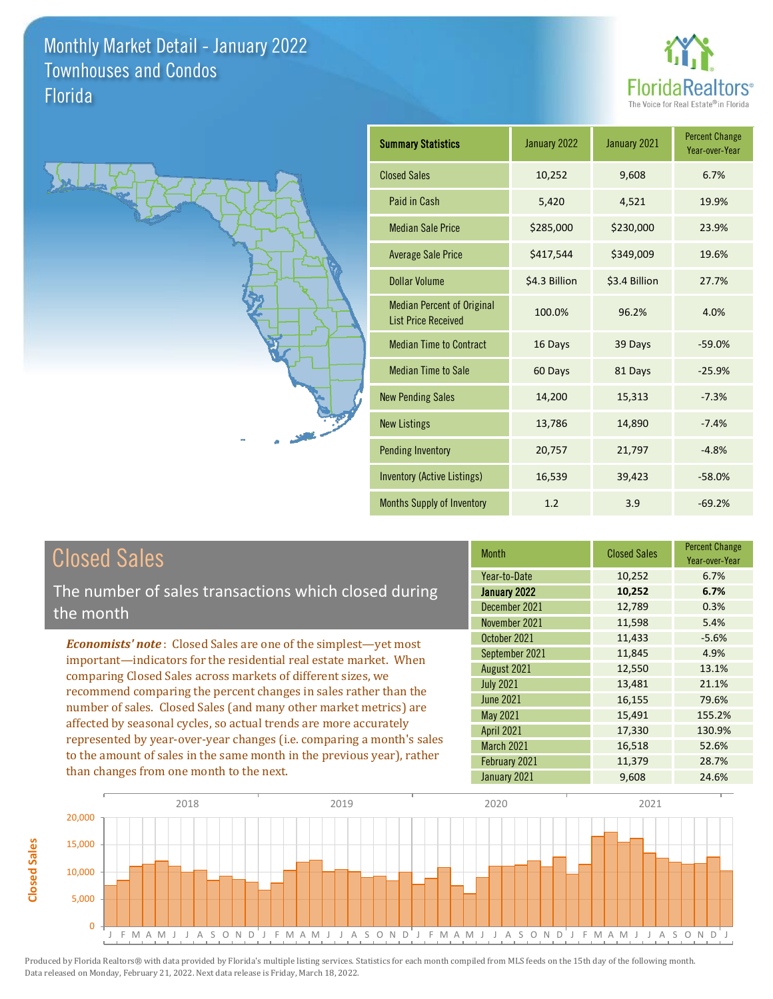**Closed Sales**

**Closed Sales** 





| <b>Summary Statistics</b>                                       | January 2022  | January 2021  | <b>Percent Change</b><br>Year-over-Year |
|-----------------------------------------------------------------|---------------|---------------|-----------------------------------------|
| <b>Closed Sales</b>                                             | 10,252        | 9,608         | 6.7%                                    |
| Paid in Cash                                                    | 5,420         | 4,521         | 19.9%                                   |
| <b>Median Sale Price</b>                                        | \$285,000     | \$230,000     | 23.9%                                   |
| <b>Average Sale Price</b>                                       | \$417,544     | \$349,009     | 19.6%                                   |
| Dollar Volume                                                   | \$4.3 Billion | \$3.4 Billion | 27.7%                                   |
| <b>Median Percent of Original</b><br><b>List Price Received</b> | 100.0%        | 96.2%         | 4.0%                                    |
| <b>Median Time to Contract</b>                                  | 16 Days       | 39 Days       | $-59.0%$                                |
| <b>Median Time to Sale</b>                                      | 60 Days       | 81 Days       | $-25.9%$                                |
| <b>New Pending Sales</b>                                        | 14,200        | 15,313        | $-7.3%$                                 |
| <b>New Listings</b>                                             | 13,786        | 14,890        | $-7.4%$                                 |
| <b>Pending Inventory</b>                                        | 20,757        | 21,797        | $-4.8%$                                 |
| <b>Inventory (Active Listings)</b>                              | 16,539        | 39,423        | $-58.0%$                                |
| <b>Months Supply of Inventory</b>                               | 1.2           | 3.9           | $-69.2%$                                |

| <b>Closed Sales</b>                                                                                                                    | <b>Month</b>      | <b>Closed Sales</b> | <b>Percent Change</b><br>Year-over-Year |
|----------------------------------------------------------------------------------------------------------------------------------------|-------------------|---------------------|-----------------------------------------|
|                                                                                                                                        | Year-to-Date      | 10,252              | 6.7%                                    |
| The number of sales transactions which closed during                                                                                   | January 2022      | 10,252              | 6.7%                                    |
| the month                                                                                                                              | December 2021     | 12,789              | 0.3%                                    |
|                                                                                                                                        | November 2021     | 11,598              | 5.4%                                    |
| <b>Economists' note:</b> Closed Sales are one of the simplest-yet most                                                                 | October 2021      | 11,433              | $-5.6%$                                 |
| important—indicators for the residential real estate market. When                                                                      | September 2021    | 11,845              | 4.9%                                    |
| comparing Closed Sales across markets of different sizes, we                                                                           | August 2021       | 12,550              | 13.1%                                   |
| recommend comparing the percent changes in sales rather than the                                                                       | <b>July 2021</b>  | 13,481              | 21.1%                                   |
|                                                                                                                                        | <b>June 2021</b>  | 16,155              | 79.6%                                   |
| number of sales. Closed Sales (and many other market metrics) are<br>affected by seasonal cycles, so actual trends are more accurately | May 2021          | 15,491              | 155.2%                                  |
|                                                                                                                                        | <b>April 2021</b> | 17,330              | 130.9%                                  |
| represented by year-over-year changes (i.e. comparing a month's sales                                                                  | March 2021        | 16,518              | 52.6%                                   |
| to the amount of sales in the same month in the previous year), rather                                                                 | February 2021     | 11,379              | 28.7%                                   |
| than changes from one month to the next.                                                                                               | January 2021      | 9,608               | 24.6%                                   |

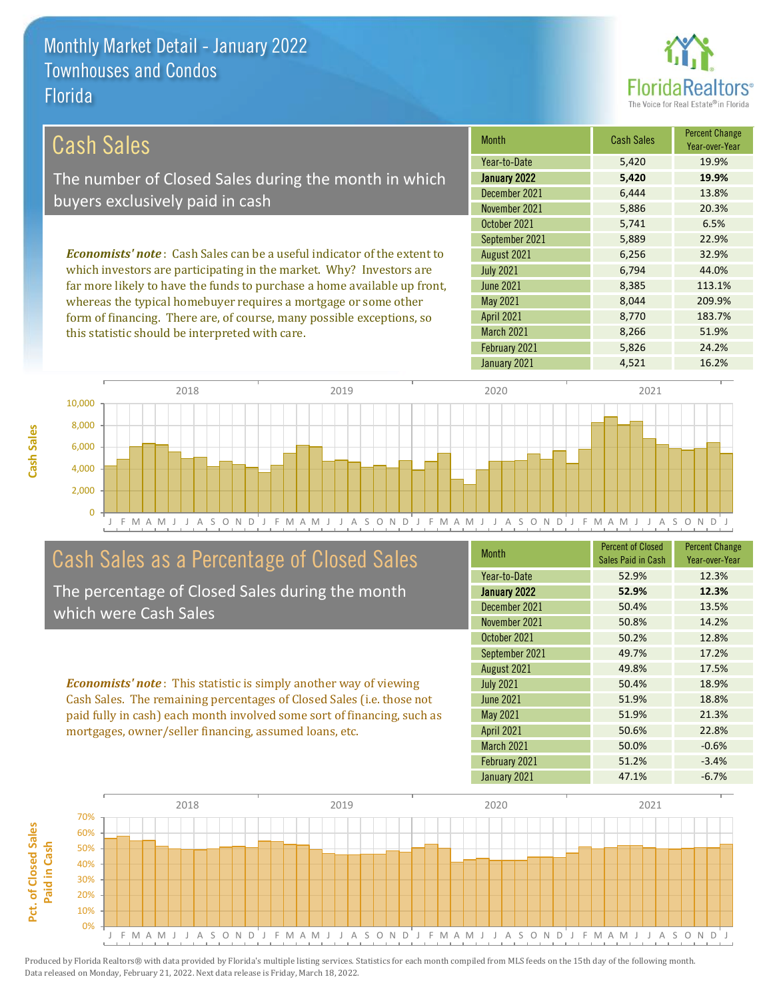this statistic should be interpreted with care.



8,266 51.9%

| Cash Sales                                                                     | <b>Month</b>      | <b>Cash Sales</b> | <b>Percent Change</b><br>Year-over-Year |
|--------------------------------------------------------------------------------|-------------------|-------------------|-----------------------------------------|
|                                                                                | Year-to-Date      | 5,420             | 19.9%                                   |
| The number of Closed Sales during the month in which                           | January 2022      | 5,420             | 19.9%                                   |
| buyers exclusively paid in cash                                                | December 2021     | 6.444             | 13.8%                                   |
|                                                                                | November 2021     | 5,886             | 20.3%                                   |
|                                                                                | October 2021      | 5,741             | 6.5%                                    |
|                                                                                | September 2021    | 5,889             | 22.9%                                   |
| <b>Economists' note:</b> Cash Sales can be a useful indicator of the extent to | August 2021       | 6,256             | 32.9%                                   |
| which investors are participating in the market. Why? Investors are            | <b>July 2021</b>  | 6.794             | 44.0%                                   |
| far more likely to have the funds to purchase a home available up front,       | June 2021         | 8.385             | 113.1%                                  |
| whereas the typical homebuyer requires a mortgage or some other                | May 2021          | 8.044             | 209.9%                                  |
| form of financing. There are, of course, many possible exceptions, so          | <b>April 2021</b> | 8.770             | 183.7%                                  |

J F M A M J J A S O N D J F M A M J J A S O N D J F M A M J J A S O N D J F M A M J J A S O N D J  $\Omega$ 2,000 4,000 6,000 8,000 10,000 2018 2019 2020 2021

## Cash Sales as a Percentage of Closed Sales

The percentage of Closed Sales during the month which were Cash Sales

*Economists' note* : This statistic is simply another way of viewing Cash Sales. The remaining percentages of Closed Sales (i.e. those not paid fully in cash) each month involved some sort of financing, such as mortgages, owner/seller financing, assumed loans, etc.

| <b>Month</b>      | <b>Percent of Closed</b><br>Sales Paid in Cash | <b>Percent Change</b><br>Year-over-Year |
|-------------------|------------------------------------------------|-----------------------------------------|
| Year-to-Date      | 52.9%                                          | 12.3%                                   |
| January 2022      | 52.9%                                          | 12.3%                                   |
| December 2021     | 50.4%                                          | 13.5%                                   |
| November 2021     | 50.8%                                          | 14.2%                                   |
| October 2021      | 50.2%                                          | 12.8%                                   |
| September 2021    | 49.7%                                          | 17.2%                                   |
| August 2021       | 49.8%                                          | 17.5%                                   |
| <b>July 2021</b>  | 50.4%                                          | 18.9%                                   |
| <b>June 2021</b>  | 51.9%                                          | 18.8%                                   |
| May 2021          | 51.9%                                          | 21.3%                                   |
| <b>April 2021</b> | 50.6%                                          | 22.8%                                   |
| March 2021        | 50.0%                                          | $-0.6%$                                 |
| February 2021     | 51.2%                                          | $-3.4%$                                 |
| January 2021      | 47.1%                                          | $-6.7%$                                 |

January 2021 4,521 16.2%

February 2021 5,826 24.2%

March 2021

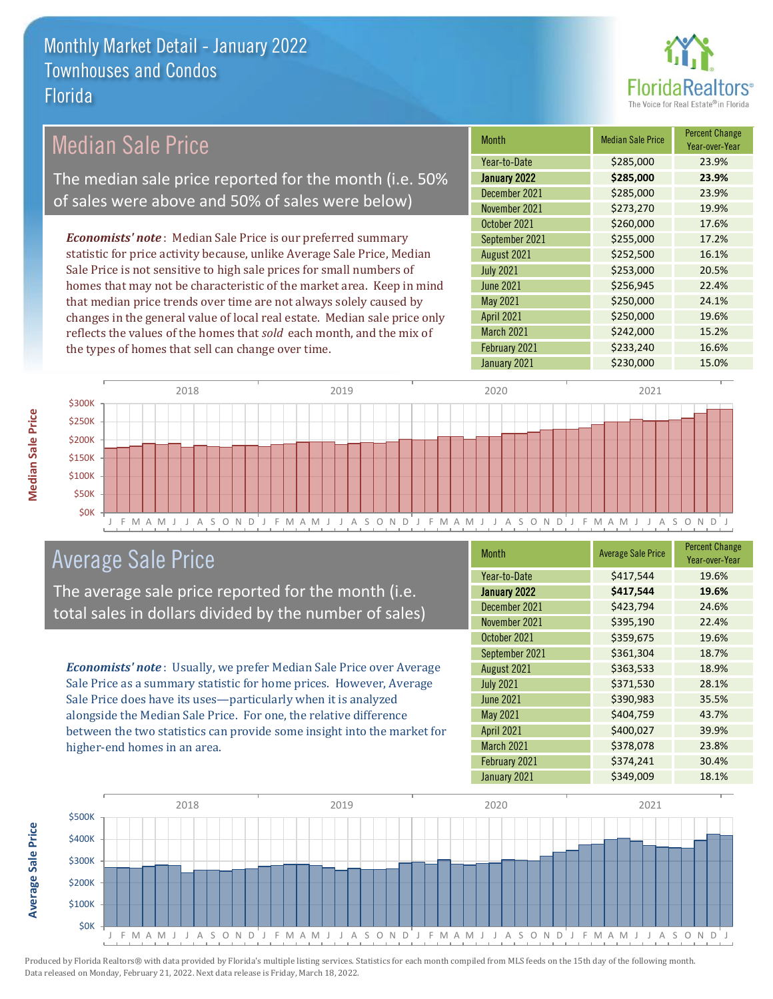

| <b>Median Sale Price</b>                                                  | <b>Month</b>      | <b>Median Sale Price</b> | <b>Percent Change</b><br>Year-over-Year |
|---------------------------------------------------------------------------|-------------------|--------------------------|-----------------------------------------|
|                                                                           | Year-to-Date      | \$285,000                | 23.9%                                   |
| The median sale price reported for the month (i.e. 50%                    | January 2022      | \$285,000                | 23.9%                                   |
| of sales were above and 50% of sales were below)                          | December 2021     | \$285,000                | 23.9%                                   |
|                                                                           | November 2021     | \$273,270                | 19.9%                                   |
|                                                                           | October 2021      | \$260,000                | 17.6%                                   |
| <b>Economists' note</b> : Median Sale Price is our preferred summary      | September 2021    | \$255,000                | 17.2%                                   |
| statistic for price activity because, unlike Average Sale Price, Median   | August 2021       | \$252,500                | 16.1%                                   |
| Sale Price is not sensitive to high sale prices for small numbers of      | <b>July 2021</b>  | \$253,000                | 20.5%                                   |
| homes that may not be characteristic of the market area. Keep in mind     | <b>June 2021</b>  | \$256,945                | 22.4%                                   |
| that median price trends over time are not always solely caused by        | May 2021          | \$250,000                | 24.1%                                   |
| changes in the general value of local real estate. Median sale price only | <b>April 2021</b> | \$250,000                | 19.6%                                   |
| reflects the values of the homes that sold each month, and the mix of     | March 2021        | \$242,000                | 15.2%                                   |
| the types of homes that sell can change over time.                        | February 2021     | \$233,240                | 16.6%                                   |
|                                                                           | January 2021      | \$230,000                | 15.0%                                   |
| 2018<br>2019                                                              | 2020              | 2021                     |                                         |
| <b>\$300K</b>                                                             |                   |                          |                                         |



## Average Sale Price

The average sale price reported for the month (i.e. total sales in dollars divided by the number of sales)

*Economists' note* : Usually, we prefer Median Sale Price over Average Sale Price as a summary statistic for home prices. However, Average Sale Price does have its uses—particularly when it is analyzed alongside the Median Sale Price. For one, the relative difference between the two statistics can provide some insight into the market for higher-end homes in an area.

| <b>Month</b>      | <b>Average Sale Price</b> | <b>Percent Change</b><br>Year-over-Year |
|-------------------|---------------------------|-----------------------------------------|
| Year-to-Date      | \$417,544                 | 19.6%                                   |
| January 2022      | \$417,544                 | 19.6%                                   |
| December 2021     | \$423,794                 | 24.6%                                   |
| November 2021     | \$395,190                 | 22.4%                                   |
| October 2021      | \$359,675                 | 19.6%                                   |
| September 2021    | \$361,304                 | 18.7%                                   |
| August 2021       | \$363,533                 | 18.9%                                   |
| <b>July 2021</b>  | \$371,530                 | 28.1%                                   |
| <b>June 2021</b>  | \$390,983                 | 35.5%                                   |
| May 2021          | \$404,759                 | 43.7%                                   |
| <b>April 2021</b> | \$400,027                 | 39.9%                                   |
| March 2021        | \$378,078                 | 23.8%                                   |
| February 2021     | \$374,241                 | 30.4%                                   |
| January 2021      | \$349,009                 | 18.1%                                   |



Produced by Florida Realtors® with data provided by Florida's multiple listing services. Statistics for each month compiled from MLS feeds on the 15th day of the following month. Data released on Monday, February 21, 2022. Next data release is Friday, March 18, 2022.

**Average Sale Price**

**Average Sale Price**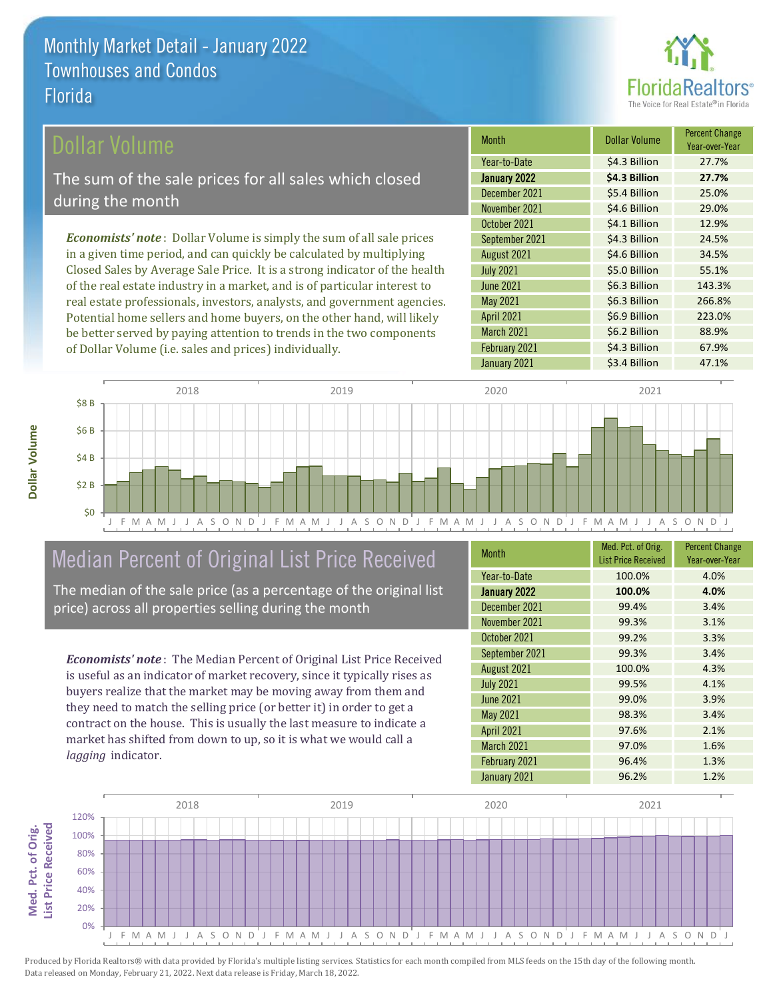

### Dollar Volume

The sum of the sale prices for all sales which closed during the month

*Economists' note* : Dollar Volume is simply the sum of all sale prices in a given time period, and can quickly be calculated by multiplying Closed Sales by Average Sale Price. It is a strong indicator of the health of the real estate industry in a market, and is of particular interest to real estate professionals, investors, analysts, and government agencies. Potential home sellers and home buyers, on the other hand, will likely be better served by paying attention to trends in the two components of Dollar Volume (i.e. sales and prices) individually.

| <b>Month</b>      | Dollar Volume | <b>Percent Change</b><br>Year-over-Year |
|-------------------|---------------|-----------------------------------------|
| Year-to-Date      | \$4.3 Billion | 27.7%                                   |
| January 2022      | \$4.3 Billion | 27.7%                                   |
| December 2021     | \$5.4 Billion | 25.0%                                   |
| November 2021     | \$4.6 Billion | 29.0%                                   |
| October 2021      | \$4.1 Billion | 12.9%                                   |
| September 2021    | \$4.3 Billion | 24.5%                                   |
| August 2021       | \$4.6 Billion | 34.5%                                   |
| <b>July 2021</b>  | \$5.0 Billion | 55.1%                                   |
| <b>June 2021</b>  | \$6.3 Billion | 143.3%                                  |
| <b>May 2021</b>   | \$6.3 Billion | 266.8%                                  |
| <b>April 2021</b> | \$6.9 Billion | 223.0%                                  |
| March 2021        | \$6.2 Billion | 88.9%                                   |
| February 2021     | \$4.3 Billion | 67.9%                                   |
| January 2021      | \$3.4 Billion | 47.1%                                   |



## Median Percent of Original List Price Received

The median of the sale price (as a percentage of the original list price) across all properties selling during the month

*Economists' note* : The Median Percent of Original List Price Received is useful as an indicator of market recovery, since it typically rises as buyers realize that the market may be moving away from them and they need to match the selling price (or better it) in order to get a contract on the house. This is usually the last measure to indicate a market has shifted from down to up, so it is what we would call a *lagging* indicator.

| <b>Month</b>      | Med. Pct. of Orig.         | <b>Percent Change</b> |
|-------------------|----------------------------|-----------------------|
|                   | <b>List Price Received</b> | Year-over-Year        |
| Year-to-Date      | 100.0%                     | 4.0%                  |
| January 2022      | 100.0%                     | 4.0%                  |
| December 2021     | 99.4%                      | 3.4%                  |
| November 2021     | 99.3%                      | 3.1%                  |
| October 2021      | 99.2%                      | 3.3%                  |
| September 2021    | 99.3%                      | 3.4%                  |
| August 2021       | 100.0%                     | 4.3%                  |
| <b>July 2021</b>  | 99.5%                      | 4.1%                  |
| <b>June 2021</b>  | 99.0%                      | 3.9%                  |
| May 2021          | 98.3%                      | 3.4%                  |
| <b>April 2021</b> | 97.6%                      | 2.1%                  |
| March 2021        | 97.0%                      | 1.6%                  |
| February 2021     | 96.4%                      | 1.3%                  |
| January 2021      | 96.2%                      | 1.2%                  |

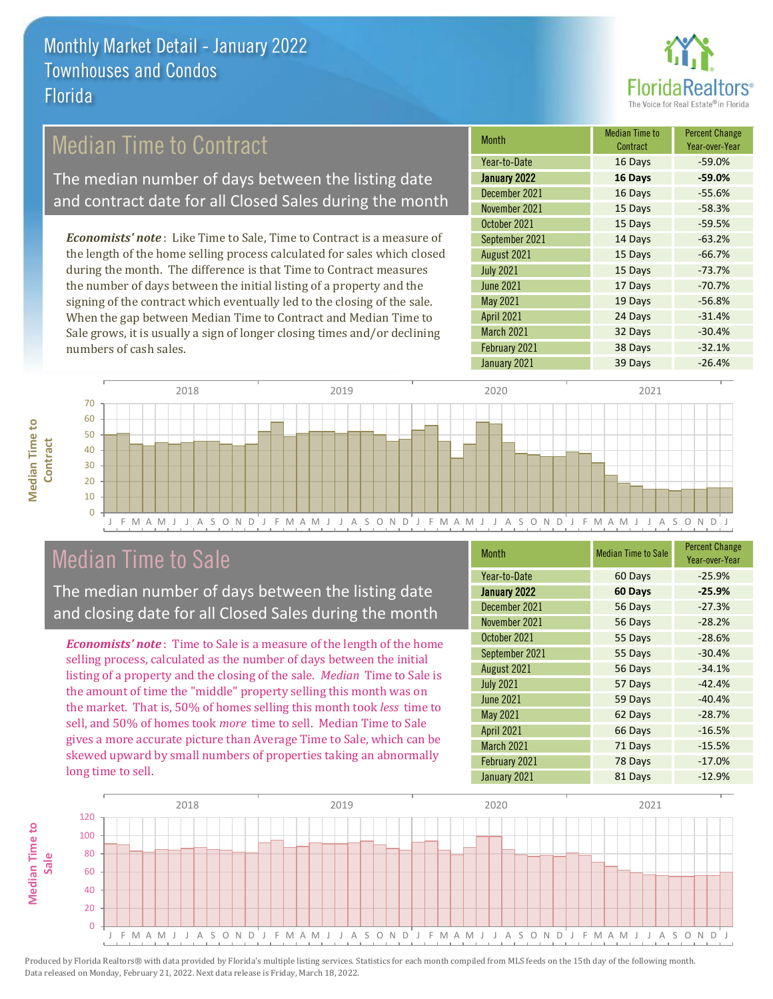

## Median Time to Contract

The median number of days between the listing date and contract date for all Closed Sales during the month

*Economists' note* : Like Time to Sale, Time to Contract is a measure of the length of the home selling process calculated for sales which closed during the month. The difference is that Time to Contract measures the number of days between the initial listing of a property and the signing of the contract which eventually led to the closing of the sale. When the gap between Median Time to Contract and Median Time to Sale grows, it is usually a sign of longer closing times and/or declining numbers of cash sales.

| <b>Month</b>      | <b>Median Time to</b><br>Contract | <b>Percent Change</b><br>Year-over-Year |
|-------------------|-----------------------------------|-----------------------------------------|
| Year-to-Date      | 16 Days                           | $-59.0%$                                |
| January 2022      | 16 Days                           | $-59.0%$                                |
| December 2021     | 16 Days                           | $-55.6%$                                |
| November 2021     | 15 Days                           | $-58.3%$                                |
| October 2021      | 15 Days                           | $-59.5%$                                |
| September 2021    | 14 Days                           | $-63.2%$                                |
| August 2021       | 15 Days                           | $-66.7%$                                |
| <b>July 2021</b>  | 15 Days                           | $-73.7%$                                |
| <b>June 2021</b>  | 17 Days                           | $-70.7%$                                |
| May 2021          | 19 Days                           | $-56.8%$                                |
| <b>April 2021</b> | 24 Days                           | $-31.4%$                                |
| March 2021        | 32 Days                           | $-30.4%$                                |
| February 2021     | 38 Days                           | $-32.1%$                                |
| January 2021      | 39 Days                           | $-26.4%$                                |



### Median Time to Sale

**Median Time to** 

**Median Time to** 

The median number of days between the listing date and closing date for all Closed Sales during the month

*Economists' note* : Time to Sale is a measure of the length of the home selling process, calculated as the number of days between the initial listing of a property and the closing of the sale. *Median* Time to Sale is the amount of time the "middle" property selling this month was on the market. That is, 50% of homes selling this month took *less* time to sell, and 50% of homes took *more* time to sell. Median Time to Sale gives a more accurate picture than Average Time to Sale, which can be skewed upward by small numbers of properties taking an abnormally long time to sell.

| <b>Month</b>      | <b>Median Time to Sale</b> | <b>Percent Change</b><br>Year-over-Year |
|-------------------|----------------------------|-----------------------------------------|
| Year-to-Date      | 60 Days                    | $-25.9%$                                |
| January 2022      | 60 Days                    | $-25.9%$                                |
| December 2021     | 56 Days                    | $-27.3%$                                |
| November 2021     | 56 Days                    | $-28.2%$                                |
| October 2021      | 55 Days                    | $-28.6%$                                |
| September 2021    | 55 Days                    | $-30.4%$                                |
| August 2021       | 56 Days                    | $-34.1%$                                |
| <b>July 2021</b>  | 57 Days                    | $-42.4%$                                |
| <b>June 2021</b>  | 59 Days                    | $-40.4%$                                |
| <b>May 2021</b>   | 62 Days                    | $-28.7%$                                |
| <b>April 2021</b> | 66 Days                    | $-16.5%$                                |
| March 2021        | 71 Days                    | $-15.5%$                                |
| February 2021     | 78 Days                    | $-17.0%$                                |
| January 2021      | 81 Days                    | $-12.9%$                                |

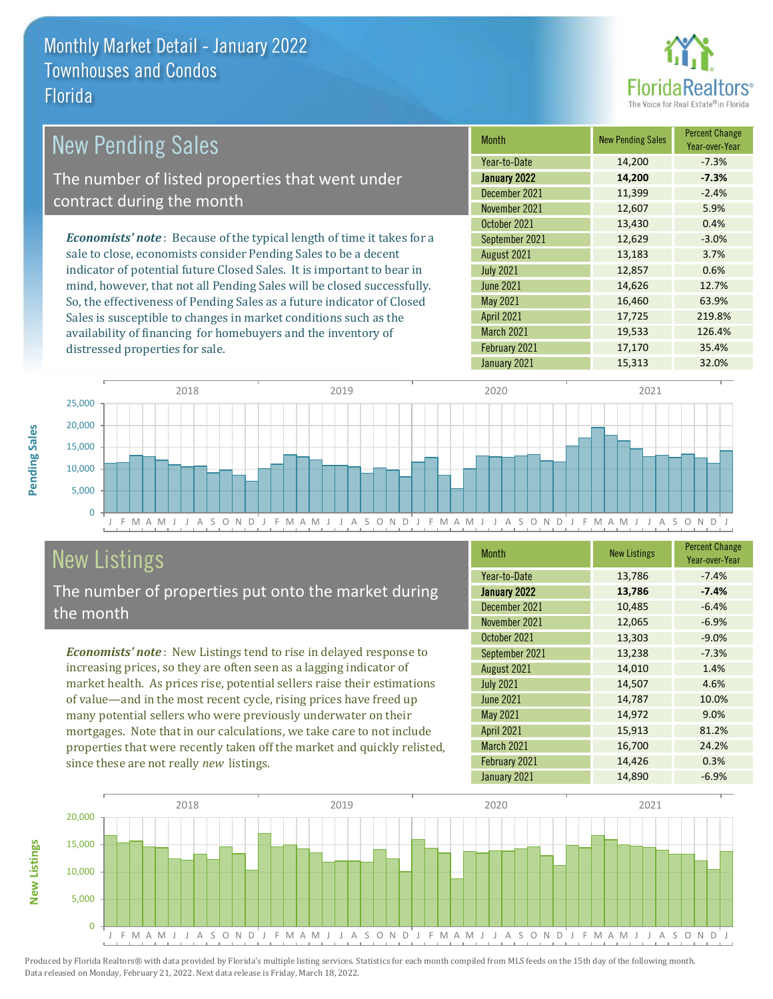

| <b>New Pending Sales</b>                                                       | <b>Month</b>      | <b>New Pending Sales</b> | <b>Percent Change</b><br>Year-over-Year |
|--------------------------------------------------------------------------------|-------------------|--------------------------|-----------------------------------------|
|                                                                                | Year-to-Date      | 14,200                   | $-7.3%$                                 |
| The number of listed properties that went under                                | January 2022      | 14,200                   | $-7.3%$                                 |
| contract during the month                                                      | December 2021     | 11,399                   | $-2.4%$                                 |
|                                                                                | November 2021     | 12,607                   | 5.9%                                    |
|                                                                                | October 2021      | 13,430                   | 0.4%                                    |
| <b>Economists' note</b> : Because of the typical length of time it takes for a | September 2021    | 12,629                   | $-3.0%$                                 |
| sale to close, economists consider Pending Sales to be a decent                | August 2021       | 13,183                   | 3.7%                                    |
| indicator of potential future Closed Sales. It is important to bear in         | <b>July 2021</b>  | 12,857                   | 0.6%                                    |
| mind, however, that not all Pending Sales will be closed successfully.         | June 2021         | 14,626                   | 12.7%                                   |
| So, the effectiveness of Pending Sales as a future indicator of Closed         | May 2021          | 16,460                   | 63.9%                                   |
| Sales is susceptible to changes in market conditions such as the               | <b>April 2021</b> | 17,725                   | 219.8%                                  |
| availability of financing for homebuyers and the inventory of                  | March 2021        | 19,533                   | 126.4%                                  |



# New Listings

**New Listings**

**Pending Sales**

**Pending Sales** 

distressed properties for sale.

The number of properties put onto the market during the month

availability of financing for homebuyers and the inventory of

*Economists' note* : New Listings tend to rise in delayed response to increasing prices, so they are often seen as a lagging indicator of market health. As prices rise, potential sellers raise their estimations of value—and in the most recent cycle, rising prices have freed up many potential sellers who were previously underwater on their mortgages. Note that in our calculations, we take care to not include properties that were recently taken off the market and quickly relisted, since these are not really *new* listings.

| <b>Month</b>      | <b>New Listings</b> | <b>Percent Change</b><br>Year-over-Year |
|-------------------|---------------------|-----------------------------------------|
| Year-to-Date      | 13,786              | $-7.4%$                                 |
| January 2022      | 13,786              | $-7.4%$                                 |
| December 2021     | 10,485              | $-6.4%$                                 |
| November 2021     | 12,065              | $-6.9%$                                 |
| October 2021      | 13,303              | $-9.0%$                                 |
| September 2021    | 13,238              | $-7.3%$                                 |
| August 2021       | 14,010              | 1.4%                                    |
| <b>July 2021</b>  | 14,507              | 4.6%                                    |
| <b>June 2021</b>  | 14,787              | 10.0%                                   |
| May 2021          | 14,972              | 9.0%                                    |
| <b>April 2021</b> | 15,913              | 81.2%                                   |
| <b>March 2021</b> | 16,700              | 24.2%                                   |
| February 2021     | 14,426              | 0.3%                                    |
| January 2021      | 14,890              | $-6.9%$                                 |

February 2021 17,170 35.4%

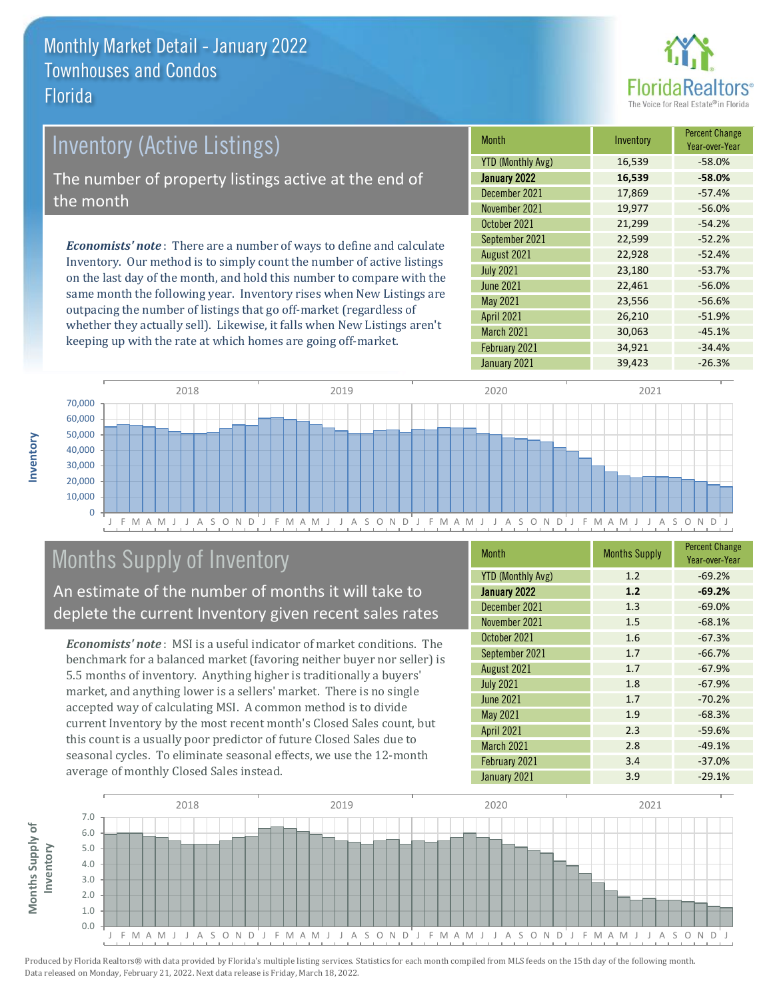

# Inventory (Active Listings) The number of property listings active at the end of the month

*Economists' note* : There are a number of ways to define and calculate Inventory. Our method is to simply count the number of active listings on the last day of the month, and hold this number to compare with the same month the following year. Inventory rises when New Listings are outpacing the number of listings that go off-market (regardless of whether they actually sell). Likewise, it falls when New Listings aren't keeping up with the rate at which homes are going off-market.

| <b>Month</b>             | Inventory | <b>Percent Change</b><br>Year-over-Year |
|--------------------------|-----------|-----------------------------------------|
| <b>YTD (Monthly Avg)</b> | 16,539    | $-58.0%$                                |
| January 2022             | 16,539    | $-58.0%$                                |
| December 2021            | 17,869    | $-57.4%$                                |
| November 2021            | 19,977    | $-56.0%$                                |
| October 2021             | 21,299    | $-54.2%$                                |
| September 2021           | 22,599    | $-52.2%$                                |
| August 2021              | 22,928    | $-52.4%$                                |
| <b>July 2021</b>         | 23,180    | $-53.7%$                                |
| <b>June 2021</b>         | 22,461    | $-56.0%$                                |
| <b>May 2021</b>          | 23,556    | $-56.6%$                                |
| <b>April 2021</b>        | 26,210    | $-51.9%$                                |
| March 2021               | 30,063    | $-45.1%$                                |
| February 2021            | 34,921    | $-34.4%$                                |
| January 2021             | 39,423    | $-26.3%$                                |



# Months Supply of Inventory

An estimate of the number of months it will take to deplete the current Inventory given recent sales rates

*Economists' note* : MSI is a useful indicator of market conditions. The benchmark for a balanced market (favoring neither buyer nor seller) is 5.5 months of inventory. Anything higher is traditionally a buyers' market, and anything lower is a sellers' market. There is no single accepted way of calculating MSI. A common method is to divide current Inventory by the most recent month's Closed Sales count, but this count is a usually poor predictor of future Closed Sales due to seasonal cycles. To eliminate seasonal effects, we use the 12-month average of monthly Closed Sales instead.

| <b>Month</b>             | <b>Months Supply</b> | <b>Percent Change</b><br>Year-over-Year |
|--------------------------|----------------------|-----------------------------------------|
| <b>YTD (Monthly Avg)</b> | 1.2                  | $-69.2%$                                |
| January 2022             | 1.2                  | $-69.2%$                                |
| December 2021            | 1.3                  | $-69.0%$                                |
| November 2021            | 1.5                  | $-68.1%$                                |
| October 2021             | 1.6                  | $-67.3%$                                |
| September 2021           | 1.7                  | $-66.7%$                                |
| August 2021              | 1.7                  | $-67.9%$                                |
| <b>July 2021</b>         | 1.8                  | $-67.9%$                                |
| <b>June 2021</b>         | 1.7                  | $-70.2%$                                |
| May 2021                 | 1.9                  | $-68.3%$                                |
| <b>April 2021</b>        | 2.3                  | $-59.6%$                                |
| March 2021               | 2.8                  | $-49.1%$                                |
| February 2021            | 3.4                  | $-37.0%$                                |
| January 2021             | 3.9                  | $-29.1%$                                |



**Inventory**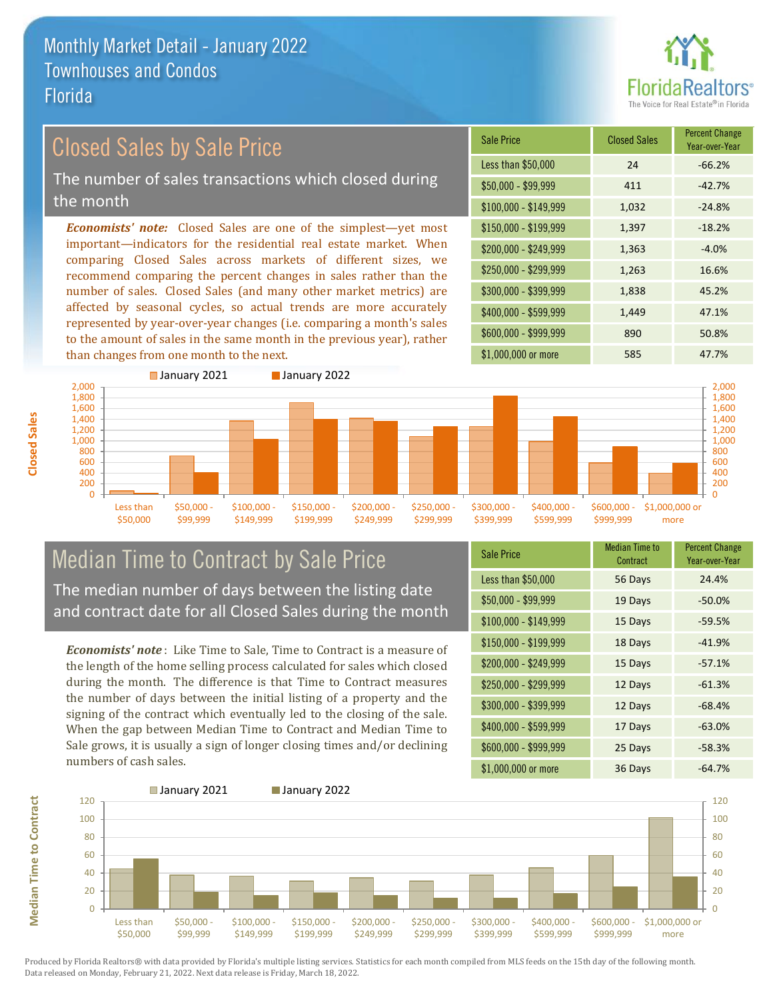

### Closed Sales by Sale Price

The number of sales transactions which closed during the month

*Economists' note:* Closed Sales are one of the simplest—yet most important—indicators for the residential real estate market. When comparing Closed Sales across markets of different sizes, we recommend comparing the percent changes in sales rather than the number of sales. Closed Sales (and many other market metrics) are affected by seasonal cycles, so actual trends are more accurately represented by year-over-year changes (i.e. comparing a month's sales to the amount of sales in the same month in the previous year), rather than changes from one month to the next.

| <b>Sale Price</b>     | <b>Closed Sales</b> | <b>Percent Change</b><br>Year-over-Year |
|-----------------------|---------------------|-----------------------------------------|
| Less than \$50,000    | 24                  | $-66.2%$                                |
| $$50,000 - $99,999$   | 411                 | $-42.7%$                                |
| $$100,000 - $149,999$ | 1,032               | $-24.8%$                                |
| $$150,000 - $199,999$ | 1,397               | $-18.2%$                                |
| \$200,000 - \$249,999 | 1,363               | $-4.0%$                                 |
| \$250,000 - \$299,999 | 1,263               | 16.6%                                   |
| \$300,000 - \$399,999 | 1,838               | 45.2%                                   |
| \$400,000 - \$599,999 | 1,449               | 47.1%                                   |
| \$600,000 - \$999,999 | 890                 | 50.8%                                   |
| \$1,000,000 or more   | 585                 | 47.7%                                   |



# Median Time to Contract by Sale Price The median number of days between the listing date

and contract date for all Closed Sales during the month

*Economists' note* : Like Time to Sale, Time to Contract is a measure of the length of the home selling process calculated for sales which closed during the month. The difference is that Time to Contract measures the number of days between the initial listing of a property and the signing of the contract which eventually led to the closing of the sale. When the gap between Median Time to Contract and Median Time to Sale grows, it is usually a sign of longer closing times and/or declining numbers of cash sales.

| <b>Sale Price</b>     | <b>Median Time to</b><br>Contract | <b>Percent Change</b><br>Year-over-Year |
|-----------------------|-----------------------------------|-----------------------------------------|
| Less than \$50,000    | 56 Days                           | 24.4%                                   |
| \$50,000 - \$99,999   | 19 Days                           | $-50.0%$                                |
| $$100,000 - $149,999$ | 15 Days                           | $-59.5%$                                |
| \$150,000 - \$199,999 | 18 Days                           | $-41.9%$                                |
| \$200,000 - \$249,999 | 15 Days                           | $-57.1%$                                |
| \$250,000 - \$299,999 | 12 Days                           | $-61.3%$                                |
| \$300,000 - \$399,999 | 12 Days                           | $-68.4%$                                |
| \$400,000 - \$599,999 | 17 Days                           | $-63.0%$                                |
| \$600,000 - \$999,999 | 25 Days                           | $-58.3%$                                |
| \$1,000,000 or more   | 36 Days                           | $-64.7%$                                |



**Closed Sales**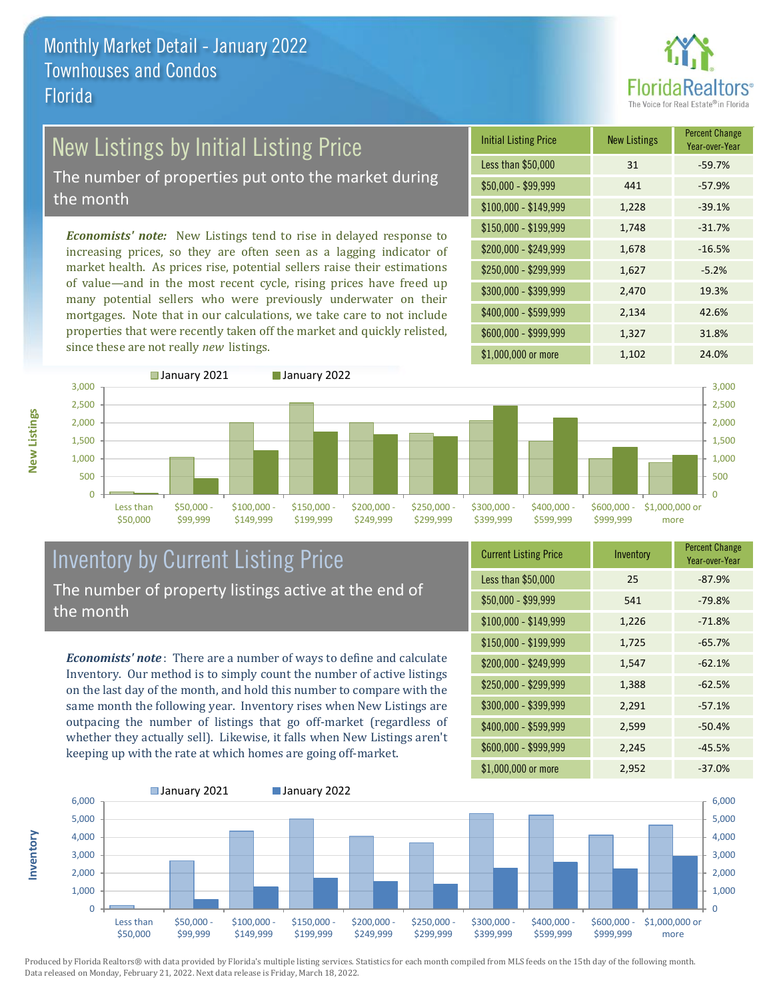

# New Listings by Initial Listing Price

The number of properties put onto the market during the month

*Economists' note:* New Listings tend to rise in delayed response to increasing prices, so they are often seen as a lagging indicator of market health. As prices rise, potential sellers raise their estimations of value—and in the most recent cycle, rising prices have freed up many potential sellers who were previously underwater on their mortgages. Note that in our calculations, we take care to not include properties that were recently taken off the market and quickly relisted, since these are not really *new* listings.





### Inventory by Current Listing Price The number of property listings active at the end of the month

*Economists' note* : There are a number of ways to define and calculate Inventory. Our method is to simply count the number of active listings on the last day of the month, and hold this number to compare with the same month the following year. Inventory rises when New Listings are outpacing the number of listings that go off-market (regardless of whether they actually sell). Likewise, it falls when New Listings aren't keeping up with the rate at which homes are going off-market.

| <b>Current Listing Price</b> | Inventory | <b>Percent Change</b><br>Year-over-Year |
|------------------------------|-----------|-----------------------------------------|
| Less than \$50,000           | 25        | $-87.9%$                                |
| $$50,000 - $99,999$          | 541       | $-79.8%$                                |
| $$100,000 - $149,999$        | 1,226     | $-71.8%$                                |
| $$150,000 - $199,999$        | 1,725     | $-65.7%$                                |
| \$200,000 - \$249,999        | 1,547     | $-62.1%$                                |
| \$250,000 - \$299,999        | 1,388     | $-62.5%$                                |
| \$300,000 - \$399,999        | 2,291     | $-57.1%$                                |
| \$400,000 - \$599,999        | 2,599     | $-50.4%$                                |
| \$600,000 - \$999,999        | 2,245     | $-45.5%$                                |
| \$1,000,000 or more          | 2,952     | $-37.0%$                                |



Produced by Florida Realtors® with data provided by Florida's multiple listing services. Statistics for each month compiled from MLS feeds on the 15th day of the following month. Data released on Monday, February 21, 2022. Next data release is Friday, March 18, 2022.

**Inventory**